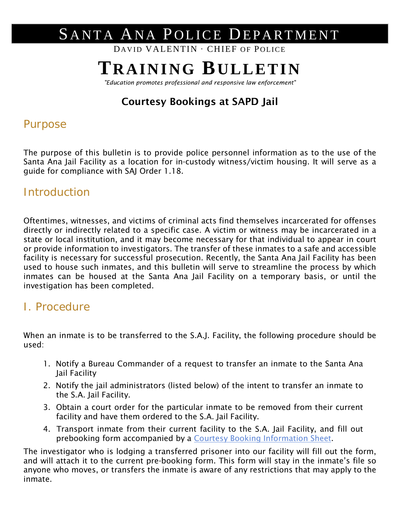# SANTA ANA POLICE DEPARTMENT

DAVID VALENTIN ∙ CHIEF OF POLICE

## **TRAINING BULLETIN**

*"Education promotes professional and responsive law enforcement"*

### Courtesy Bookings at SAPD Jail

#### Purpose

The purpose of this bulletin is to provide police personnel information as to the use of the Santa Ana Jail Facility as a location for in-custody witness/victim housing. It will serve as a guide for compliance with SAJ Order 1.18.

#### **Introduction**

Oftentimes, witnesses, and victims of criminal acts find themselves incarcerated for offenses directly or indirectly related to a specific case. A victim or witness may be incarcerated in a state or local institution, and it may become necessary for that individual to appear in court or provide information to investigators. The transfer of these inmates to a safe and accessible facility is necessary for successful prosecution. Recently, the Santa Ana Jail Facility has been used to house such inmates, and this bulletin will serve to streamline the process by which inmates can be housed at the Santa Ana Jail Facility on a temporary basis, or until the investigation has been completed.

### I. Procedure

When an inmate is to be transferred to the S.A.J. Facility, the following procedure should be used:

- 1. Notify a Bureau Commander of a request to transfer an inmate to the Santa Ana Jail Facility
- 2. Notify the jail administrators (listed below) of the intent to transfer an inmate to the S.A. Jail Facility.
- 3. Obtain a court order for the particular inmate to be removed from their current facility and have them ordered to the S.A. Jail Facility.
- 4. Transport inmate from their current facility to the S.A. Jail Facility, and fill out prebooking form accompanied by a [Courtesy Booking Information Sheet.](http://wikipda/@api/deki/files/22136/=tb01-06Attachment.pdf)

The investigator who is lodging a transferred prisoner into our facility will fill out the form, and will attach it to the current pre-booking form. This form will stay in the inmate's file so anyone who moves, or transfers the inmate is aware of any restrictions that may apply to the inmate.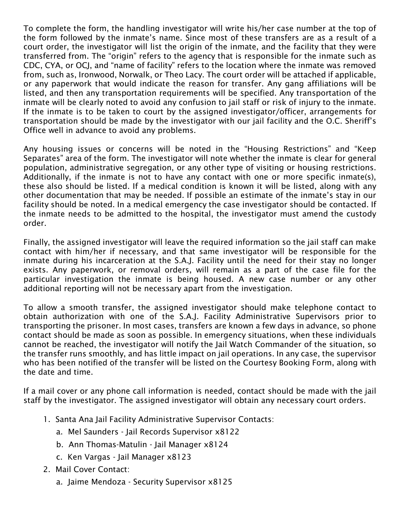To complete the form, the handling investigator will write his/her case number at the top of the form followed by the inmate's name. Since most of these transfers are as a result of a court order, the investigator will list the origin of the inmate, and the facility that they were transferred from. The "origin" refers to the agency that is responsible for the inmate such as CDC, CYA, or OCJ, and "name of facility" refers to the location where the inmate was removed from, such as, Ironwood, Norwalk, or Theo Lacy. The court order will be attached if applicable, or any paperwork that would indicate the reason for transfer. Any gang affiliations will be listed, and then any transportation requirements will be specified. Any transportation of the inmate will be clearly noted to avoid any confusion to jail staff or risk of injury to the inmate. If the inmate is to be taken to court by the assigned investigator/officer, arrangements for transportation should be made by the investigator with our jail facility and the O.C. Sheriff's Office well in advance to avoid any problems.

Any housing issues or concerns will be noted in the "Housing Restrictions" and "Keep Separates" area of the form. The investigator will note whether the inmate is clear for general population, administrative segregation, or any other type of visiting or housing restrictions. Additionally, if the inmate is not to have any contact with one or more specific inmate(s), these also should be listed. If a medical condition is known it will be listed, along with any other documentation that may be needed. If possible an estimate of the inmate's stay in our facility should be noted. In a medical emergency the case investigator should be contacted. If the inmate needs to be admitted to the hospital, the investigator must amend the custody order.

Finally, the assigned investigator will leave the required information so the jail staff can make contact with him/her if necessary, and that same investigator will be responsible for the inmate during his incarceration at the S.A.J. Facility until the need for their stay no longer exists. Any paperwork, or removal orders, will remain as a part of the case file for the particular investigation the inmate is being housed. A new case number or any other additional reporting will not be necessary apart from the investigation.

To allow a smooth transfer, the assigned investigator should make telephone contact to obtain authorization with one of the S.A.J. Facility Administrative Supervisors prior to transporting the prisoner. In most cases, transfers are known a few days in advance, so phone contact should be made as soon as possible. In emergency situations, when these individuals cannot be reached, the investigator will notify the Jail Watch Commander of the situation, so the transfer runs smoothly, and has little impact on jail operations. In any case, the supervisor who has been notified of the transfer will be listed on the Courtesy Booking Form, along with the date and time.

If a mail cover or any phone call information is needed, contact should be made with the jail staff by the investigator. The assigned investigator will obtain any necessary court orders.

- 1. Santa Ana Jail Facility Administrative Supervisor Contacts:
	- a. Mel Saunders Jail Records Supervisor x8122
	- b. Ann Thomas-Matulin Jail Manager x8124
	- c. Ken Vargas Jail Manager x8123
- 2. Mail Cover Contact:
	- a. Jaime Mendoza Security Supervisor x8125